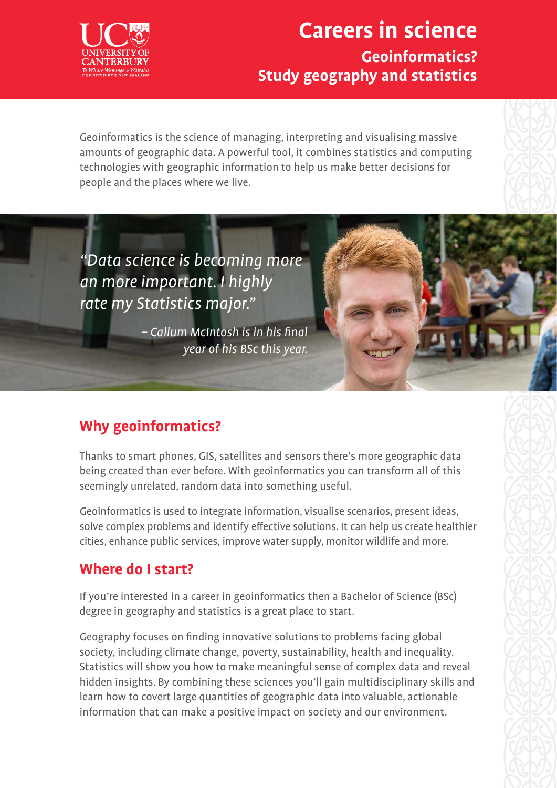## **Careers in science Geoinformatics? Study geography and statistics**

Geoinformatics is the science of managing, interpreting and visualising massive amounts of geographic data. A powerful tool, it combines statistics and computing technologies with geographic information to help us make better decisions for people and the places where we live.

"Data science is becoming more an more important. I highly rate my Statistics major."

> – Callum McIntosh is in his final year of his BSc this year.

### **Why geoinformatics?**

Thanks to smart phones, GIS, satellites and sensors there's more geographic data being created than ever before. With geoinformatics you can transform all of this seemingly unrelated, random data into something useful.

Geoinformatics is used to integrate information, visualise scenarios, present ideas, solve complex problems and identify effective solutions. It can help us create healthier cities, enhance public services, improve water supply, monitor wildlife and more.

#### **Where do I start?**

If you're interested in a career in geoinformatics then a Bachelor of Science (BSc) degree in geography and statistics is a great place to start.

Geography focuses on finding innovative solutions to problems facing global society, including climate change, poverty, sustainability, health and inequality. Statistics will show you how to make meaningful sense of complex data and reveal hidden insights. By combining these sciences you'll gain multidisciplinary skills and learn how to covert large quantities of geographic data into valuable, actionable information that can make a positive impact on society and our environment.